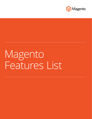

# Magento Features List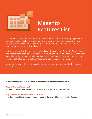

## **Magento Features List**

Magento® software unlocks a world of possibilities for merchants looking to grow their businesses online. Its flexible, open platform empowers merchants to create innovative shopping experiences that stand out from the competition, attract new customers, and inspire them to return again and again<sup>1</sup>.

A rich, out-of-the-box feature set, combined with thousands of off-the-shelf extensions and a global ecosystem of expert partners ready to implement solutions, gives merchants a complete solution that can adapt and grow with their needs. It's no wonder that more than 240,000 sites worldwide trust Magento to power their online stores.

In this guide, learn why Magento is the eCommerce solution of choice for businesses of all sizes.

**This document provides you with an in-depth look at Magento's feature sets:**

#### **Magento General Feature List**

Provides an overview of the many features found in all Magento deployed products.

#### **Magento Enterprise Edition Exclusive Features**

Describes the additional, advanced features found exclusively in Magento Enterprise Edition.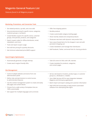### **Magento General Feature List**

*Features found in all Magento projects*

#### **Marketing, Promotions, and Conversion Tools**

- Set related products, up-sells, and cross-sells
- Set promotional pricing for specific stores, categories, customer groups, or products
- Create flexible coupons for specific stores, customer groups, time periods, products, and categories
- Export coupon codes for offline distribution, email, newsletters, and more
- Track and report coupon usage
- Set multi-tier pricing for quantity discounts
- Get minimum advertised price (MAP) support
- Offer free shipping options
- Bundle products
- Create customizable category landing pages
- Show recently viewed and compared products
- Showcase new items with dynamic new product lists
- Save unpurchased items for the shopper's next visit with persistent shopping cart
- Create newsletters and manage their distribution
- Add Facebook, Twitter, and email links for sharing products

#### **Search Engine Optimization**

- Automatically generate a Google sitemap
- Create search engine friendly URLs
- Take full control of URLs with URL rewrites
- Create metadata for products, categories, and content pages

#### **Site Management**

- Control multiple websites and stores from one administration panel
- Define roles and permissions to control access to administrative features
- Use the content management system to create and easily edit pages and content blocks
- Choose from a wide variety of templates that are 100% customizable
- Get support for multiple languages and currencies
- Set tax rate based on location, product type, or customer group (i.e., wholesale vs. retailer)
- Use a Web Services API for easy integration between Magento and third-party applications
- Batch import and export catalog and customer information
- Add CAPTCHA functionality to help prevent automated software from attempting fake logins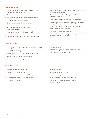#### **Catalog Management**

- Display simple, configurable (e.g., choose size, color, etc.), bundled, and grouped products
- Display virtual products
- Include downloadable/digital products with samples
- Define unlimited product attributes
- Create pre-defined attribute sets for quick product creation
- Easily manage inventory with support for backordered items
- Receive notification when inventory needs to be replenished
- Choose out-of-stock messaging and display options
- Define minimum and maximum product quantities that can be added to the cart
- Mass-assign a value to multiple products for batch updates to products
- Automatically resize images and include watermarking
- Use advanced pricing rules and get support for special prices, customer group prices, and tiered pricing
- Rewrite and redirect search results if customers are searching and receiving no results
- Moderate reviews and product tags
- Allow customer personalized products upload images and text for monogramming, etc.

#### **Catalog Browsing**

- Filter products in categories and search results by price range, brands, color swatches, and other attributes with layered/faceted navigation
- View product category items in grid or list format
- View product comparisons with history
- Display a recently viewed products module
- Add breadcrumbs
- Define search synonyms to expand search results
- Add a popular search terms cloud

#### **Product Browsing**

- View multiple images per product
- Zoom-in on product images
- Include swatches to show colors, fabrics, and more
- Set related products, up-sell, and cross-sell
- Display stock availability
- Show pricing tiers
- Show product option selection
- Include grouped products view
- Include option to add product to wish list
- Add Facebook, Twitter, and email links for sharing products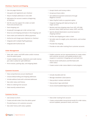#### **Checkout, Payment and Shipping**

- Use one-page checkout
- Use guest and registered user checkout
- Ship to multiple addresses in one order
- Add option for account creation at beginning of checkout
- Get SSL security support for orders on both front-end and back-end
- Save shopping cart
- Accept gift messages per order and per item
- Show tax and shipping estimates in the shopping cart
- Save credit card method for offline payments
- Authorize and charge upon shipment or checkout
- Integrate with multiple PayPal gateways
- Integrate with Authorize.net
- Accept checks and money orders
- Accept purchase orders
- Get additional payment extensions through Magento Connect
- Select PayPal Credit as a payment option
- Integrate shipping with label printing for all major carriers
- Receive real-time shipping rates from UPS, UPS XML (account rates), FedEx (account rates), USPS, and DHL
- Specify allowed destination countries based on shipping method
- Set flat rate shipping per order or item
- Set table rates for weight, price, destination, and number of items
- Provide free shipping
- Provide on-site order tracking from customer accounts

#### **Order Management**

- View, edit, create, and fulfill orders and/or invoices from the admin panel
- Create multiple invoices, shipments and credit memos per order to allow for split fulfillment
- Print invoices, packing slips, and shipping labels
- Enable customer service representatives to create orders and customer accounts, and update products and coupons in customers' shopping carts and wish lists
- Receive email notifications and RSS feeds with order status
- Create custom order status labels to track progress

#### **Customer Accounts**

- View comprehensive account dashboard
- Choose default billing and shipping addresses
- Include address book with unlimited addresses
- See order status and history
- Allow re-ordering from account
- View recently ordered items
- Include sharable wish list
- Manage newsletter subscriptions
- View product reviews submitted
- View product tags submitted
- Access downloadable/digital products

#### **Customer Service**

- Use Contact Us form
- Create and edit orders from the admin panel
- Provide feature-rich customer accounts
- See order history with status updates
- View order tracking from account
- Create customizable transactional emails for order status, account updates, password resets, and more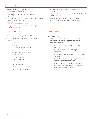#### **International Support**

- Receive support for localization, multiple currencies, and local tax rates
- Receive support for accented characters and right-to-left text
- Get product with six translations (French, Dutch, German, Spanish, Portuguese, Chinese)
- All possible languages supported
- Configure list of allowed countries for site registration, shipping, and billing

#### Analytics and Reporting **Mobile Commerce**

- Receive support for Google Universal Analytics
- Access the following reports through the admin dashboard:
	- Sales report
	- Tax report
	- Abandoned shopping cart report
	- Best viewed products report
	- Best purchased products report
	- Low stock report
	- Search terms report
	- Product reviews report
	- Tags report
	- Coupon usage report
	- Total sales invoiced report
	- Total sales refunded report
- Support fixed product taxes, such as WEEE/DEEE in the EU
- Automatically calculate tax for transactions in the EU with VAT-ID validation<sup>2</sup>
- Use EU cookie notification to simplify EU Privacy and Electronic Communications Directive compliance

#### Responsive Design

- Quickly create a site optimized for any device using an included base responsive design reference theme The responsive design:
	- Can be easily customized for a faster time to market
	- Includes all major flows, product types, and features
	- Reduces long-term maintenance costs and eases site updates
	- Offers SEO benefits by using Google's preferred approach to optimize mobile sites
	- Enables customers to read notifications and promotional mailing on mobile devices through responsive emails and newsletters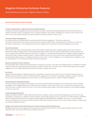#### **Magento Enterprise Exclusive Features**

*Advanced features found only in Magento Enterprise Edition*

#### **Dynamic Marketing and Merchandising**

#### *Customer Segmentation, Targeted Promotions & Merchandising*

Create personalized shopping experiences that boost conversion rates by dynamically displaying content and promotions to specific customers based on properties such as customer address, order history, shopping cart contents, wish list items, and more. You can also target unknown site visitors based on products viewed or items in cart.

#### *Customer Attribute Management*

Personalize sales and marketing efforts with advanced attribute management. This feature allows you to quickly and easily add new customer attributes such as gender, date of birth, alternate phone numbers, etc. These can be used to create new or more sophisticated customer segments for customized marketing campaigns and content.

#### *Visual Merchandizer*

Boost conversion rates and dramatically cut the time it takes to optimize product category pages with a suite of tools to easily and visually manage product merchandising. Manually position products using a simple drag-and-drop interface, set "hero" products that are always placed at the top of a category, or use automated sorting rules to organize category pages to feature best sellers, highest-margin products, newest products, and more. Also, save time by using Visual Merchandiser to automatically assign products to categories based on pre-set rules, to clone categories, or to create dynamic categories, such as "new products" or "on sale items" based on product attributes.

#### *Dynamic Rule-Based Product Relations*

Set automated rules to determine which products to present as up-sells, cross-sells, and related products to different customer segments. Rules are easily administered through a condition-based tool. This allows you to effortlessly target specific product suggestions to encourage additional purchases and higher average order values.

#### *Solr Search*

Magento Enterprise Edition integrates with Solr, a standalone, enterprise-scale search server to provide improved search performance and relevancy. Solr can identify and offer suggestions for customer misspellings, support synonyms and stop words, and use attribute weighting in search results. It can also generate search results for layered navigation.

#### *Automated Email Marketing Reminder*

Increase sales by automating email reminders to customers with abandoned shopping carts and wish lists. Email reminder campaigns can be triggered based on a wide variety of conditions, such as time since a cart or wish list was abandoned, the total cart value, or specific items in the cart. You can also include coupon codes in the email reminders to encourage shoppers to return to your site.

#### *Content Management System*

Magento Enterprise Edition includes CMS enhancements to help you create content that distinguishes your store from your competition, increases your visibility to search engines, and provides support to your customers. The CMS includes a WYSIWYG editor and page hierarchy system to organize content pages and add pagination, navigation, and menus. Create multiple versions of a page, track the revision history of each, and restore previous versions. You can also set permissions to control who can create and publish content.

#### *Category View and Purchase Permissions per Customer Group (Limited Catalog Access)*

Manage the products and categories that can be viewed and purchased by each customer group. B2B businesses use this feature to offer custom sets of products to different accounts.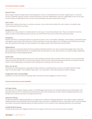#### *Rewards Points*

Build shopper loyalty through special reward programs. Points can be awarded for purchases, registering for a customer account, newsletter signups, product review submissions, and more. Redemption rules are configurable so you can set caps on the number of reward points that can be accrued and determine when reward points expire.

#### *Store Credits*

Create store credits and tie them to customer accounts. You can also refund orders for store credit or virtual gift cards to be used toward future purchases.

#### *Multiple Wish Lists*

Customers can save products to multiple wish lists and copy or move items between lists. They can make their wish lists public so they're searchable by anyone, and you can review these lists to learn about their wants and needs.

#### *Gift Registry*

Enable customers to create gift registries for special occasions such as new babies, weddings, and birthdays. Automated emails and registry search boxes make it easy for friends and family to access the registry. You can keep track of all items purchased, view the quantities remaining, and send updates to the registry owner when new items are purchased.

#### *Gifting Options*

Allow customers to purchase physical and virtual gift certificates/cards for your store. Increase the average order value with gift-wrapping for individual products or complete orders during check out. Your administrators can easily configure applicable pricing and taxes for gift-wrapping options.

#### *Private Sales*

Offer exclusive shopping experiences for your most valuable customers with a private or flash sale site. You can control how long private sales last and who is invited to participate, as well as boost interest by allowing customers to invite their friends to join in and by displaying a countdown timer showing time remaining until the sale is over.

#### *Add to Cart by SKU*

Streamline the ordering process, especially for B2B customers, by enabling them to enter a list of SKUs without having to go into product pages. This simplifies large orders, recurring orders, and ordering based on offline catalogs.

#### *Configurable Order Tracking Widget*

Customers can track the status of existing orders and returns without logging in to their account.

#### **Powerful Performance and Scalability**

#### *Full Page Caching*

Serve all visitors complete category, product, and CMS pages directly from the cache (excludes personal information). This generally improves server response times and reduces load, which enables you to offer a faster shopping experience and handle more customers with your existing infrastructure.

#### *Optimized Indexing*

Increase the speed of indexing with little to no impact to the customer's shopping experience. This makes it easier to add and update products more frequently while ensuring that URLs, promotions, navigational menus, and product search tools are always up-to-date. Incremental indexing reduces the need to perform a full re-index as most indexing operations are automated.

#### *Scalable Backend Systems*

Increase productivity with a Magento Admin that can support more users and concurrent product updates.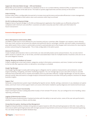#### *Support for Alternate Media Storage – CDN and Database*

Media files can be stored in a database on a database server or on a content delivery network (CDN), as opposed to storing them on the file system of the web server. This leads to quicker page load times and less activity on the server.

#### *Order Archiving*

Archive orders after a configurable time period to increase store performance and provide efficiencies in store management. Orders are still available to both admin users and customers after they're archived.

#### *PA-DSS Certification/Payment Bridge*

Magento Secure Payment Bridge is a PA-DSS certified payment application that enables you to efficiently achieve PCI compliance with minimum cost and effort. Customers are able to securely save their credit card information for future transactions<sup>3</sup>.

#### **Extensive Management Tools**

#### *Return Management Authorization (RMA)*

Use RMA to make returns more efficient for your business and your customers alike. Shoppers can request a return directly from your store, and you can process the request and authorize returns, exchanges, refunds, and store credits conveniently in your admin panel. Once a return is authorized, an email is automatically sent to the shopper with instructions for returning the product and printing the shipping label. This is fully configurable in the admin panel.

#### *Advanced Permissions*

Create multiple administrative roles to control who can view and edit product prices and promotions. You can also restrict admin access to a specific site, or set of sites, and their associated data if sites for multiple brands or business units are run on the same Magento instance.

#### *Staging, Merging and Rollback of Content*

Create a staging site to test new content, categories, product information, promotions, and more. Content can be merged to the live site after approval, either on-demand or according to a schedule.

#### *Google Tag Manager*

Use Google Tag Manager to easily add tracking tags to a Magento site for audience measurement, personalization, search engine marketing, retargeting, and other marketing programs. You can manage tags on your own with an easy-to-use web interface that accelerates time to market and enables more accurate data collection. Google Tag Manager can also be used to directly transfer data and events to Google Analytics Enhanced Ecommerce and other third-party analytics solutions for deeper business insights.

#### *Support Tool*

Generate a comprehensive system report detailing the Apache version, MySQL settings, extensions in use, database corruption status, and much more so that support teams can access information needed to quickly diagnose and resolve technical issues

#### *Scheduled Import/Export Functionality*

Import and export product catalog data either locally or from remote FTP servers. You can configure for error handling, status reporting, and backup.

#### *Logging of Administrator Actions*

Track and review all administrators' backend activities with the ability to see each action, name of the user who performed it, whether it was a success or failure, and the date.

#### *Strong Data Encryption, Hashing and Key Management*

Magento Enterprise Edition includes strong data encryption based on AES-256 and hashing based on SHA-256. It also offers a more secure admin panel login process with stronger password requirements and account lockout to limit password guessing. You can easily manage and update database keys.